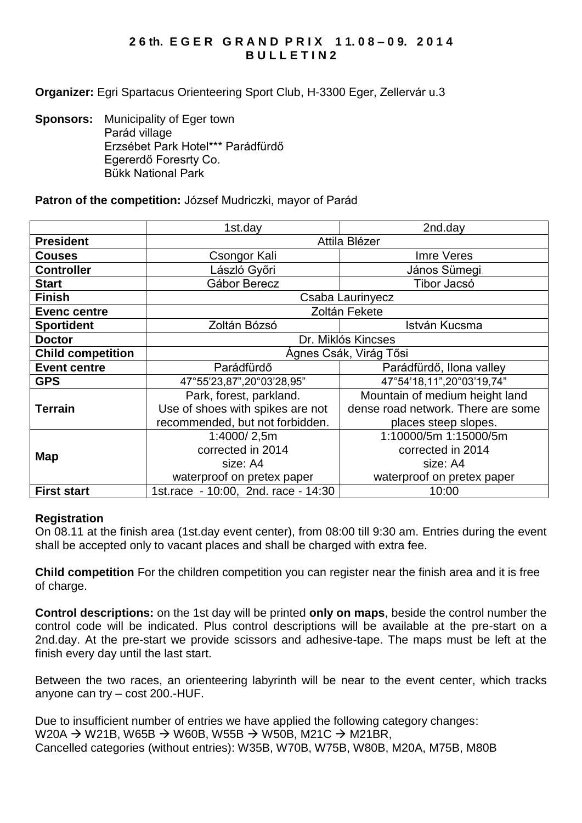# **2 6 th. E G E R G R A N D P R I X 1 1. 0 8 – 0 9. 2 0 1 4 B U L L E T I N 2**

**Organizer:** Egri Spartacus Orienteering Sport Club, H-3300 Eger, Zellervár u.3

**Sponsors:** Municipality of Eger town Parád village Erzsébet Park Hotel\*\*\* Parádfürdő Egererdő Foresrty Co. Bükk National Park

### **Patron of the competition:** József Mudriczki, mayor of Parád

|                          | 1st.day                             | 2nd.day                            |  |
|--------------------------|-------------------------------------|------------------------------------|--|
| <b>President</b>         | Attila Blézer                       |                                    |  |
| <b>Couses</b>            | Csongor Kali                        | Imre Veres                         |  |
| <b>Controller</b>        | László Győri                        | János Sümegi                       |  |
| <b>Start</b>             | Gábor Berecz                        | Tibor Jacsó                        |  |
| <b>Finish</b>            | Csaba Laurinyecz                    |                                    |  |
| <b>Evenc centre</b>      | Zoltán Fekete                       |                                    |  |
| <b>Sportident</b>        | Zoltán Bózsó                        | István Kucsma                      |  |
| <b>Doctor</b>            | Dr. Miklós Kincses                  |                                    |  |
| <b>Child competition</b> | Ágnes Csák, Virág Tősi              |                                    |  |
| <b>Event centre</b>      | Parádfürdő                          | Parádfürdő, Ilona valley           |  |
| <b>GPS</b>               | 47°55'23,87",20°03'28,95"           | 47°54'18,11",20°03'19,74"          |  |
| <b>Terrain</b>           | Park, forest, parkland.             | Mountain of medium height land     |  |
|                          | Use of shoes with spikes are not    | dense road network. There are some |  |
|                          | recommended, but not forbidden.     | places steep slopes.               |  |
| Map                      | 1:4000/2,5m                         | 1:10000/5m 1:15000/5m              |  |
|                          | corrected in 2014                   | corrected in 2014                  |  |
|                          | size: A4                            | size: A4                           |  |
|                          | waterproof on pretex paper          | waterproof on pretex paper         |  |
| <b>First start</b>       | 1st.race - 10:00, 2nd. race - 14:30 | 10:00                              |  |

#### **Registration**

On 08.11 at the finish area (1st.day event center), from 08:00 till 9:30 am. Entries during the event shall be accepted only to vacant places and shall be charged with extra fee.

**Child competition** For the children competition you can register near the finish area and it is free of charge.

**Control descriptions:** on the 1st day will be printed **only on maps**, beside the control number the control code will be indicated. Plus control descriptions will be available at the pre-start on a 2nd.day. At the pre-start we provide scissors and adhesive-tape. The maps must be left at the finish every day until the last start.

Between the two races, an orienteering labyrinth will be near to the event center, which tracks anyone can try – cost 200.-HUF.

Due to insufficient number of entries we have applied the following category changes: W20A  $\rightarrow$  W21B, W65B  $\rightarrow$  W60B, W55B  $\rightarrow$  W50B, M21C  $\rightarrow$  M21BR, Cancelled categories (without entries): W35B, W70B, W75B, W80B, M20A, M75B, M80B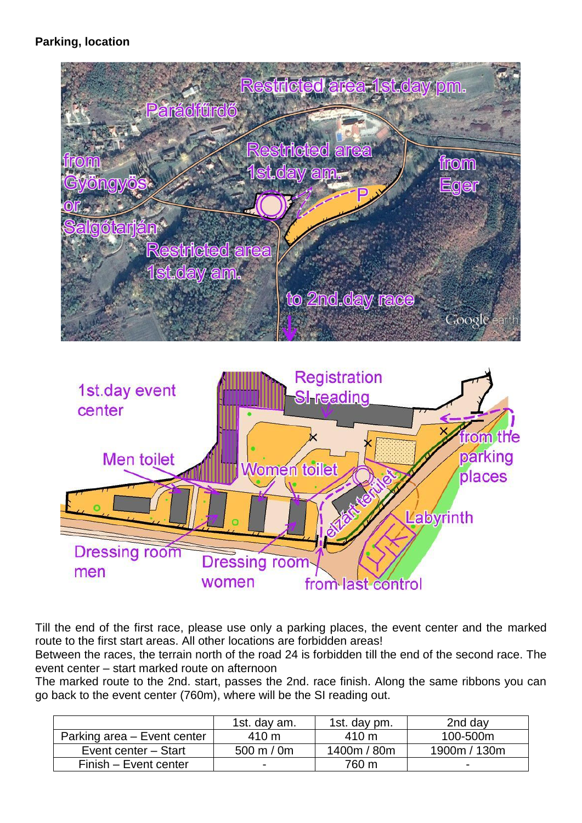# **Parking, location**





Till the end of the first race, please use only a parking places, the event center and the marked route to the first start areas. All other locations are forbidden areas!

Between the races, the terrain north of the road 24 is forbidden till the end of the second race. The event center – start marked route on afternoon

The marked route to the 2nd. start, passes the 2nd. race finish. Along the same ribbons you can go back to the event center (760m), where will be the SI reading out.

|                             | 1st. day am.             | 1st. day pm. | 2nd day                  |
|-----------------------------|--------------------------|--------------|--------------------------|
| Parking area - Event center | $410 \text{ m}$          | 410 m        | 100-500m                 |
| Event center - Start        | 500 m $/$ 0m             | 1400m / 80m  | 1900m / 130m             |
| Finish - Event center       | $\overline{\phantom{a}}$ | 760 m        | $\overline{\phantom{a}}$ |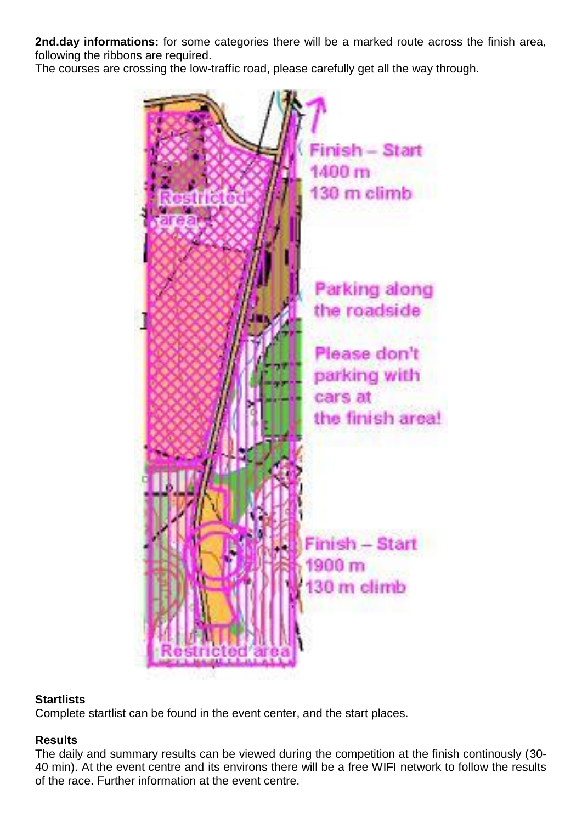**2nd.day informations:** for some categories there will be a marked route across the finish area, following the ribbons are required.

The courses are crossing the low-traffic road, please carefully get all the way through.



#### **Startlists**

Complete startlist can be found in the event center, and the start places.

### **Results**

The daily and summary results can be viewed during the competition at the finish continously (30- 40 min). At the event centre and its environs there will be a free WIFI network to follow the results of the race. Further information at the event centre.